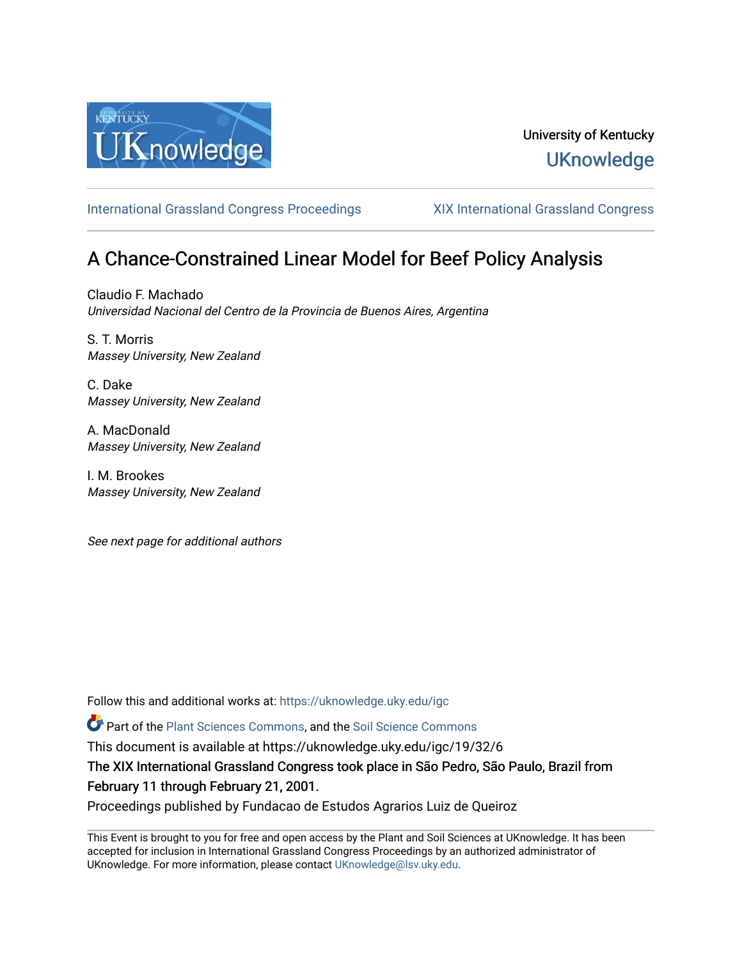

# University of Kentucky **UKnowledge**

[International Grassland Congress Proceedings](https://uknowledge.uky.edu/igc) [XIX International Grassland Congress](https://uknowledge.uky.edu/igc/19) 

# A Chance-Constrained Linear Model for Beef Policy Analysis

Claudio F. Machado Universidad Nacional del Centro de la Provincia de Buenos Aires, Argentina

S. T. Morris Massey University, New Zealand

C. Dake Massey University, New Zealand

A. MacDonald Massey University, New Zealand

I. M. Brookes Massey University, New Zealand

See next page for additional authors

Follow this and additional works at: [https://uknowledge.uky.edu/igc](https://uknowledge.uky.edu/igc?utm_source=uknowledge.uky.edu%2Figc%2F19%2F32%2F6&utm_medium=PDF&utm_campaign=PDFCoverPages) 

Part of the [Plant Sciences Commons](http://network.bepress.com/hgg/discipline/102?utm_source=uknowledge.uky.edu%2Figc%2F19%2F32%2F6&utm_medium=PDF&utm_campaign=PDFCoverPages), and the [Soil Science Commons](http://network.bepress.com/hgg/discipline/163?utm_source=uknowledge.uky.edu%2Figc%2F19%2F32%2F6&utm_medium=PDF&utm_campaign=PDFCoverPages) 

This document is available at https://uknowledge.uky.edu/igc/19/32/6

The XIX International Grassland Congress took place in São Pedro, São Paulo, Brazil from February 11 through February 21, 2001.

Proceedings published by Fundacao de Estudos Agrarios Luiz de Queiroz

This Event is brought to you for free and open access by the Plant and Soil Sciences at UKnowledge. It has been accepted for inclusion in International Grassland Congress Proceedings by an authorized administrator of UKnowledge. For more information, please contact [UKnowledge@lsv.uky.edu](mailto:UKnowledge@lsv.uky.edu).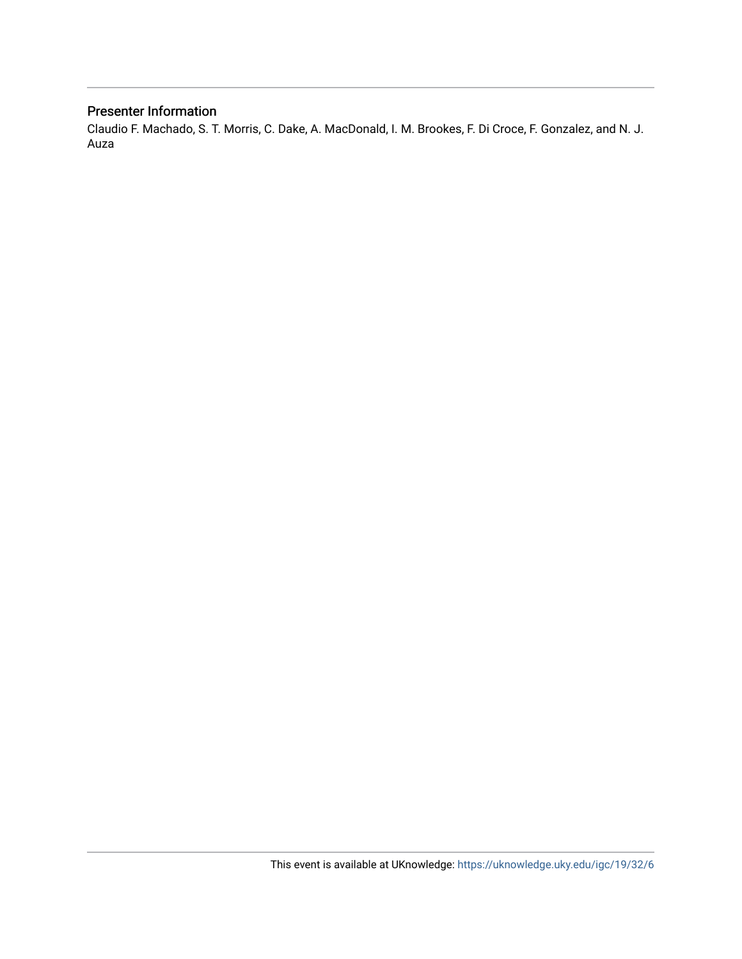## Presenter Information

Claudio F. Machado, S. T. Morris, C. Dake, A. MacDonald, I. M. Brookes, F. Di Croce, F. Gonzalez, and N. J. Auza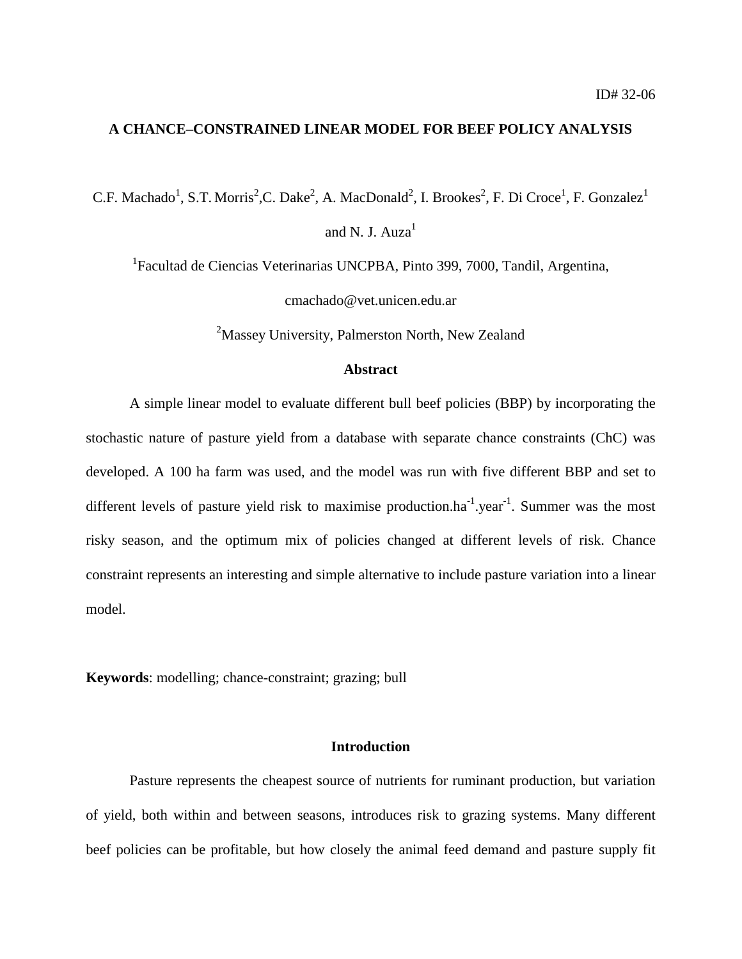### **A CHANCE–CONSTRAINED LINEAR MODEL FOR BEEF POLICY ANALYSIS**

C.F. Machado<sup>1</sup>, S.T. Morris<sup>2</sup>,C. Dake<sup>2</sup>, A. MacDonald<sup>2</sup>, I. Brookes<sup>2</sup>, F. Di Croce<sup>1</sup>, F. Gonzalez<sup>1</sup>

and N. J.  $Aux<sup>1</sup>$ 

<sup>1</sup> Facultad de Ciencias Veterinarias UNCPBA, Pinto 399, 7000, Tandil, Argentina,

cmachado@vet.unicen.edu.ar

<sup>2</sup>Massey University, Palmerston North, New Zealand

#### **Abstract**

A simple linear model to evaluate different bull beef policies (BBP) by incorporating the stochastic nature of pasture yield from a database with separate chance constraints (ChC) was developed. A 100 ha farm was used, and the model was run with five different BBP and set to different levels of pasture yield risk to maximise production.ha<sup>-1</sup>.year<sup>-1</sup>. Summer was the most risky season, and the optimum mix of policies changed at different levels of risk. Chance constraint represents an interesting and simple alternative to include pasture variation into a linear model.

**Keywords**: modelling; chance-constraint; grazing; bull

#### **Introduction**

Pasture represents the cheapest source of nutrients for ruminant production, but variation of yield, both within and between seasons, introduces risk to grazing systems. Many different beef policies can be profitable, but how closely the animal feed demand and pasture supply fit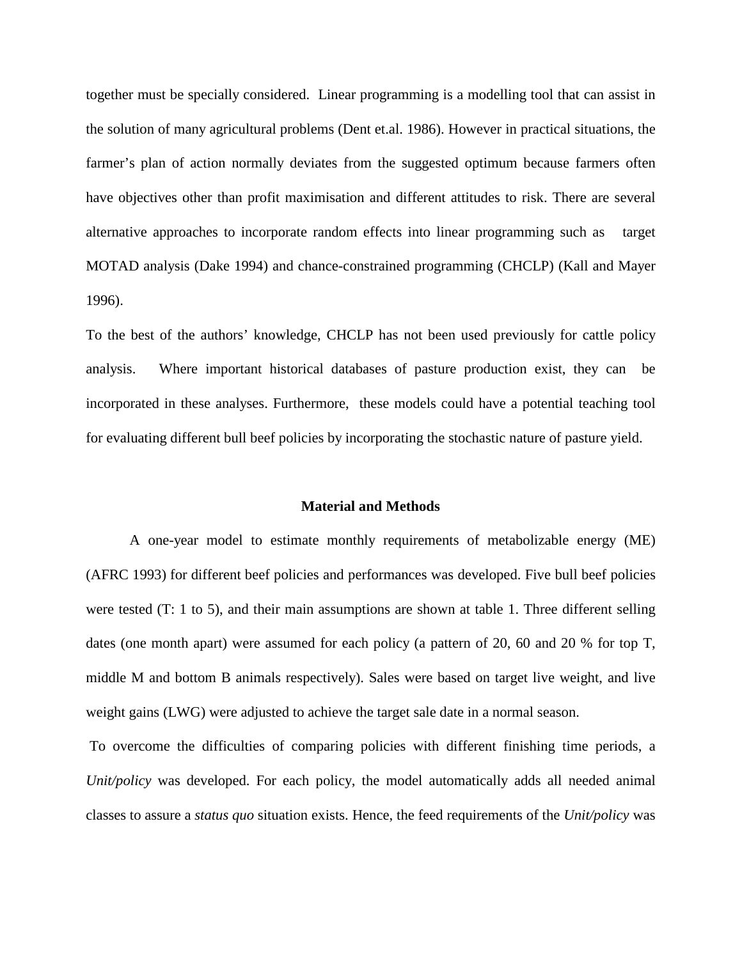together must be specially considered. Linear programming is a modelling tool that can assist in the solution of many agricultural problems (Dent et.al. 1986). However in practical situations, the farmer's plan of action normally deviates from the suggested optimum because farmers often have objectives other than profit maximisation and different attitudes to risk. There are several alternative approaches to incorporate random effects into linear programming such as target MOTAD analysis (Dake 1994) and chance-constrained programming (CHCLP) (Kall and Mayer 1996).

To the best of the authors' knowledge, CHCLP has not been used previously for cattle policy analysis. Where important historical databases of pasture production exist, they can be incorporated in these analyses. Furthermore, these models could have a potential teaching tool for evaluating different bull beef policies by incorporating the stochastic nature of pasture yield.

### **Material and Methods**

A one-year model to estimate monthly requirements of metabolizable energy (ME) (AFRC 1993) for different beef policies and performances was developed. Five bull beef policies were tested (T: 1 to 5), and their main assumptions are shown at table 1. Three different selling dates (one month apart) were assumed for each policy (a pattern of 20, 60 and 20 % for top T, middle M and bottom B animals respectively). Sales were based on target live weight, and live weight gains (LWG) were adjusted to achieve the target sale date in a normal season.

 To overcome the difficulties of comparing policies with different finishing time periods, a *Unit/policy* was developed. For each policy, the model automatically adds all needed animal classes to assure a *status quo* situation exists. Hence, the feed requirements of the *Unit/policy* was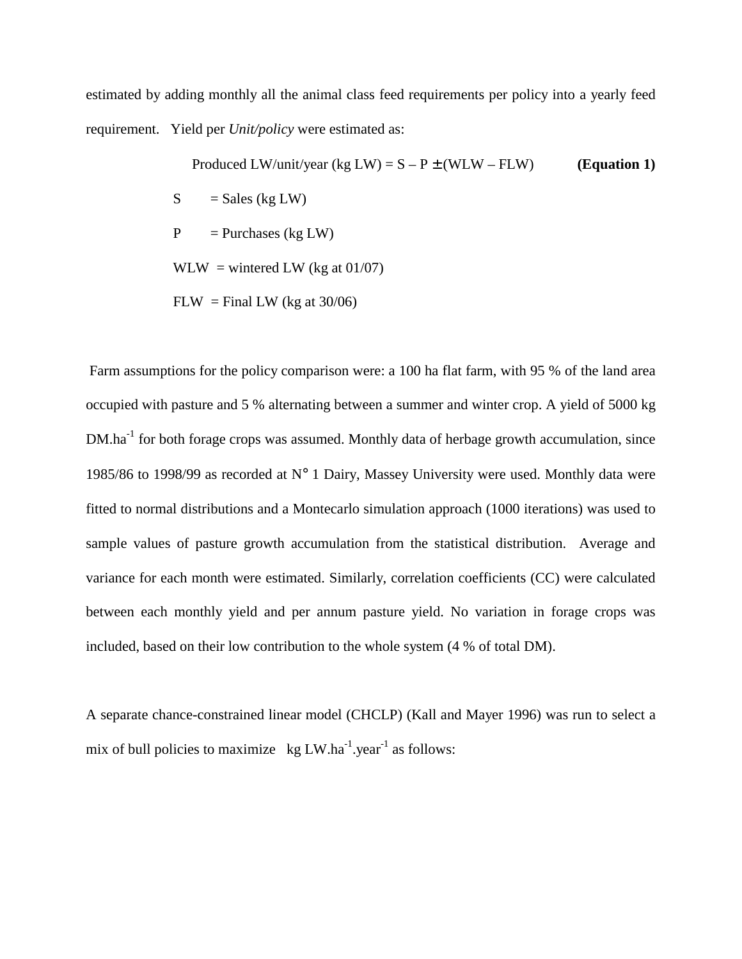estimated by adding monthly all the animal class feed requirements per policy into a yearly feed requirement. Yield per *Unit/policy* were estimated as:

> Produced LW/unit/year  $(kg LW) = S - P \pm (WLW - FLW)$  (Equation 1)  $S = Sales (kg LW)$  $P =$  Purchases (kg LW)  $WLW =$  wintered LW (kg at 01/07)  $FLW = Final LW$  (kg at 30/06)

 Farm assumptions for the policy comparison were: a 100 ha flat farm, with 95 % of the land area occupied with pasture and 5 % alternating between a summer and winter crop. A yield of 5000 kg DM.ha<sup>-1</sup> for both forage crops was assumed. Monthly data of herbage growth accumulation, since 1985/86 to 1998/99 as recorded at  $N^{\circ}$  1 Dairy, Massey University were used. Monthly data were fitted to normal distributions and a Montecarlo simulation approach (1000 iterations) was used to sample values of pasture growth accumulation from the statistical distribution. Average and variance for each month were estimated. Similarly, correlation coefficients (CC) were calculated between each monthly yield and per annum pasture yield. No variation in forage crops was included, based on their low contribution to the whole system (4 % of total DM).

A separate chance-constrained linear model (CHCLP) (Kall and Mayer 1996) was run to select a mix of bull policies to maximize  $kg LW.ha^{-1}.year^{-1}$  as follows: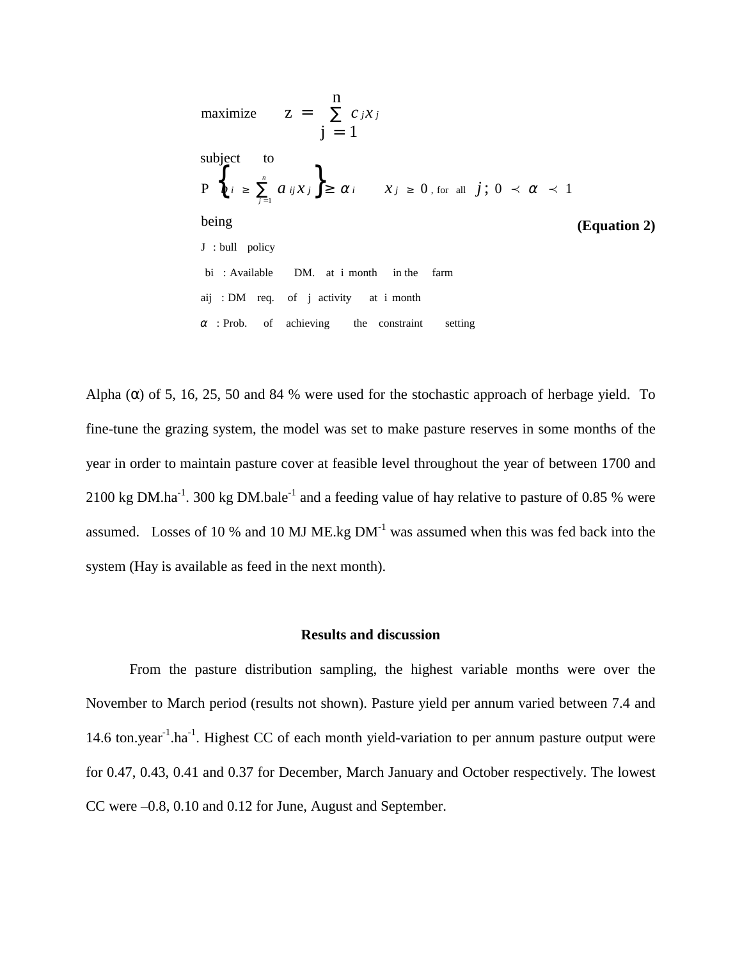maximize 
$$
Z = \sum_{j=1}^{n} c_j x_j
$$
  
\n $j = 1$   
\nsubject to  
\n $P \n\begin{cases}\n\oint_{0} z \ge \sum_{j=1}^{n} a_{ij} x_j \ge \alpha_i \quad x_j \ge 0, \text{ for all } j; 0 \prec \alpha \prec 1\n\end{cases}$   
\nbeing  
\n $J: \text{bull policy}$   
\nbi : Available DM. at i month in the farm  
\naij : DM req. of j activity at i month  
\n $\alpha$ : Prob. of achieving the constraint setting

Alpha ( $\alpha$ ) of 5, 16, 25, 50 and 84 % were used for the stochastic approach of herbage yield. To fine-tune the grazing system, the model was set to make pasture reserves in some months of the year in order to maintain pasture cover at feasible level throughout the year of between 1700 and 2100 kg DM.ha<sup>-1</sup>. 300 kg DM.bale<sup>-1</sup> and a feeding value of hay relative to pasture of 0.85 % were assumed. Losses of 10 % and 10 MJ ME.kg  $DM<sup>-1</sup>$  was assumed when this was fed back into the system (Hay is available as feed in the next month).

#### **Results and discussion**

From the pasture distribution sampling, the highest variable months were over the November to March period (results not shown). Pasture yield per annum varied between 7.4 and 14.6 ton.year<sup>-1</sup>.ha<sup>-1</sup>. Highest CC of each month yield-variation to per annum pasture output were for 0.47, 0.43, 0.41 and 0.37 for December, March January and October respectively. The lowest CC were –0.8, 0.10 and 0.12 for June, August and September.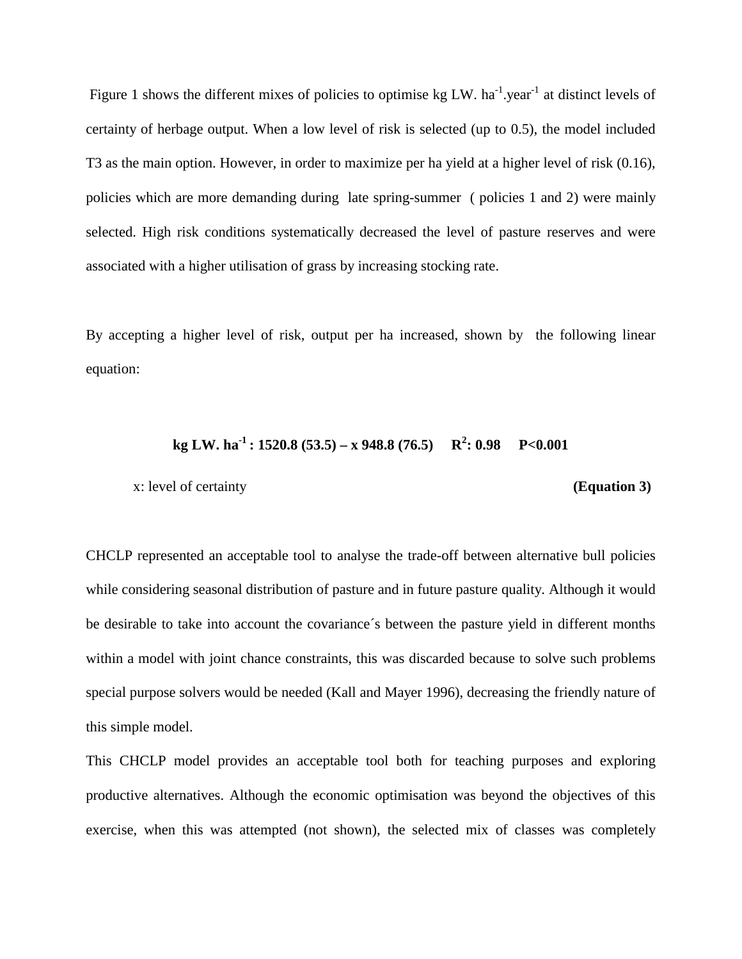Figure 1 shows the different mixes of policies to optimise kg LW. ha<sup>-1</sup> year<sup>-1</sup> at distinct levels of certainty of herbage output. When a low level of risk is selected (up to 0.5), the model included T3 as the main option. However, in order to maximize per ha yield at a higher level of risk (0.16), policies which are more demanding during late spring-summer ( policies 1 and 2) were mainly selected. High risk conditions systematically decreased the level of pasture reserves and were associated with a higher utilisation of grass by increasing stocking rate.

By accepting a higher level of risk, output per ha increased, shown by the following linear equation:

## **kg LW. ha-1 : 1520.8 (53.5) – x 948.8 (76.5) R2 : 0.98 P<0.001**

x: level of certainty **(Equation 3)**

CHCLP represented an acceptable tool to analyse the trade-off between alternative bull policies while considering seasonal distribution of pasture and in future pasture quality. Although it would be desirable to take into account the covariance´s between the pasture yield in different months within a model with joint chance constraints, this was discarded because to solve such problems special purpose solvers would be needed (Kall and Mayer 1996), decreasing the friendly nature of this simple model.

This CHCLP model provides an acceptable tool both for teaching purposes and exploring productive alternatives. Although the economic optimisation was beyond the objectives of this exercise, when this was attempted (not shown), the selected mix of classes was completely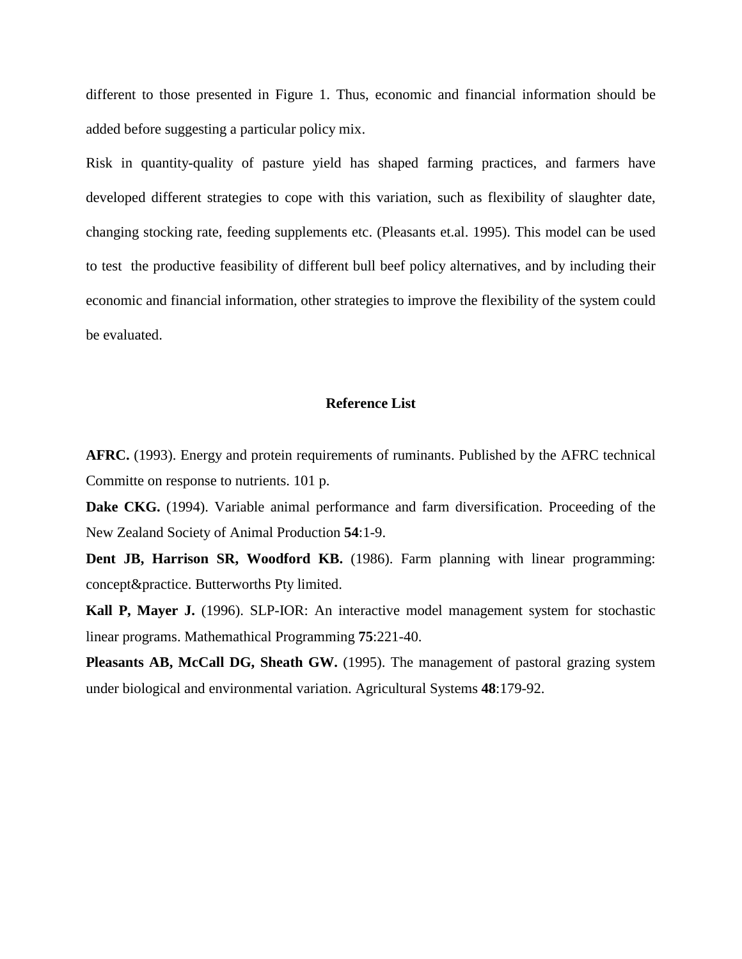different to those presented in Figure 1. Thus, economic and financial information should be added before suggesting a particular policy mix.

Risk in quantity-quality of pasture yield has shaped farming practices, and farmers have developed different strategies to cope with this variation, such as flexibility of slaughter date, changing stocking rate, feeding supplements etc. (Pleasants et.al. 1995). This model can be used to test the productive feasibility of different bull beef policy alternatives, and by including their economic and financial information, other strategies to improve the flexibility of the system could be evaluated.

#### **Reference List**

**AFRC.** (1993). Energy and protein requirements of ruminants. Published by the AFRC technical Committe on response to nutrients. 101 p.

**Dake CKG.** (1994). Variable animal performance and farm diversification. Proceeding of the New Zealand Society of Animal Production **54**:1-9.

**Dent JB, Harrison SR, Woodford KB.** (1986). Farm planning with linear programming: concept&practice. Butterworths Pty limited.

**Kall P, Mayer J.** (1996). SLP-IOR: An interactive model management system for stochastic linear programs. Mathemathical Programming **75**:221-40.

**Pleasants AB, McCall DG, Sheath GW.** (1995). The management of pastoral grazing system under biological and environmental variation. Agricultural Systems **48**:179-92.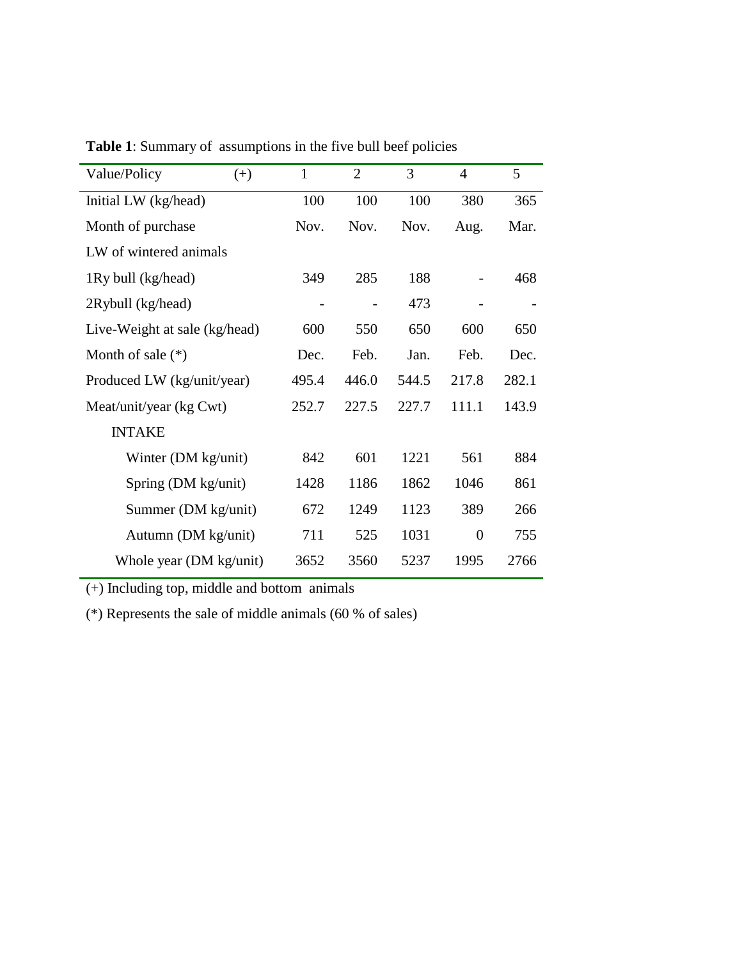| Value/Policy                  | $(+)$ | $\mathbf{1}$ | $\overline{2}$ | 3     | $\overline{4}$ | 5     |
|-------------------------------|-------|--------------|----------------|-------|----------------|-------|
| Initial LW (kg/head)          |       | 100          | 100            | 100   | 380            | 365   |
| Month of purchase             |       | Nov.         | Nov.           | Nov.  | Aug.           | Mar.  |
| LW of wintered animals        |       |              |                |       |                |       |
| 1Ry bull (kg/head)            |       | 349          | 285            | 188   |                | 468   |
| 2Rybull (kg/head)             |       |              |                | 473   |                |       |
| Live-Weight at sale (kg/head) |       | 600          | 550            | 650   | 600            | 650   |
| Month of sale $(*)$           |       | Dec.         | Feb.           | Jan.  | Feb.           | Dec.  |
| Produced LW (kg/unit/year)    |       | 495.4        | 446.0          | 544.5 | 217.8          | 282.1 |
| Meat/unit/year (kg Cwt)       |       | 252.7        | 227.5          | 227.7 | 111.1          | 143.9 |
| <b>INTAKE</b>                 |       |              |                |       |                |       |
| Winter (DM kg/unit)           |       | 842          | 601            | 1221  | 561            | 884   |
| Spring (DM kg/unit)           |       | 1428         | 1186           | 1862  | 1046           | 861   |
| Summer (DM kg/unit)           |       | 672          | 1249           | 1123  | 389            | 266   |
| Autumn (DM kg/unit)           |       | 711          | 525            | 1031  | $\overline{0}$ | 755   |
| Whole year (DM kg/unit)       |       | 3652         | 3560           | 5237  | 1995           | 2766  |

**Table 1**: Summary of assumptions in the five bull beef policies

(+) Including top, middle and bottom animals

(\*) Represents the sale of middle animals (60 % of sales)